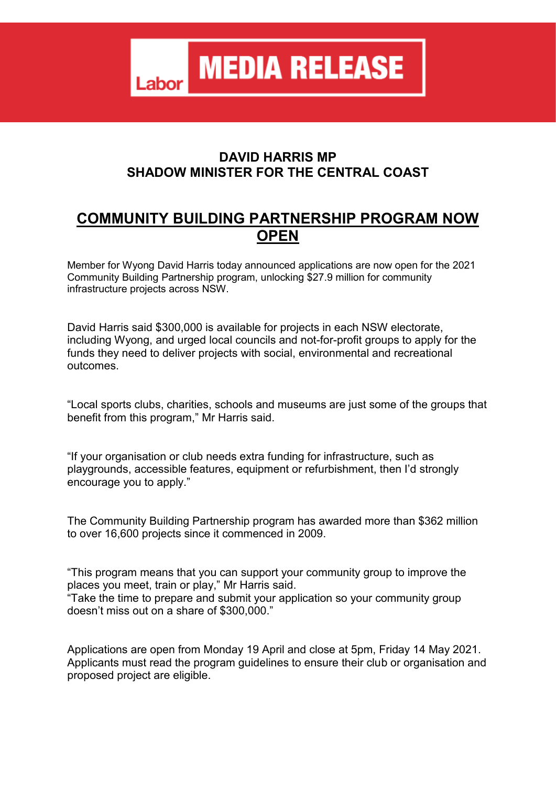**MEDIA RELEASE** Labor

## **DAVID HARRIS MP SHADOW MINISTER FOR THE CENTRAL COAST**

## **COMMUNITY BUILDING PARTNERSHIP PROGRAM NOW OPEN**

Member for Wyong David Harris today announced applications are now open for the 2021 Community Building Partnership program, unlocking \$27.9 million for community infrastructure projects across NSW.

David Harris said \$300,000 is available for projects in each NSW electorate, including Wyong, and urged local councils and not-for-profit groups to apply for the funds they need to deliver projects with social, environmental and recreational outcomes.

"Local sports clubs, charities, schools and museums are just some of the groups that benefit from this program," Mr Harris said.

"If your organisation or club needs extra funding for infrastructure, such as playgrounds, accessible features, equipment or refurbishment, then I'd strongly encourage you to apply."

The Community Building Partnership program has awarded more than \$362 million to over 16,600 projects since it commenced in 2009.

"This program means that you can support your community group to improve the places you meet, train or play," Mr Harris said.

"Take the time to prepare and submit your application so your community group doesn't miss out on a share of \$300,000."

Applications are open from Monday 19 April and close at 5pm, Friday 14 May 2021. Applicants must read the program guidelines to ensure their club or organisation and proposed project are eligible.